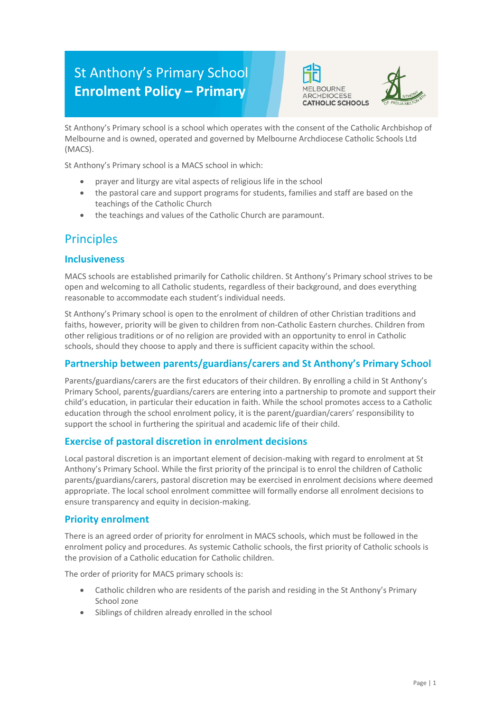# St Anthony's Primary School **Enrolment Policy – Primary**





St Anthony's Primary school is a school which operates with the consent of the Catholic Archbishop of Melbourne and is owned, operated and governed by Melbourne Archdiocese Catholic Schools Ltd (MACS).

St Anthony's Primary school is a MACS school in which:

- prayer and liturgy are vital aspects of religious life in the school
- the pastoral care and support programs for students, families and staff are based on the teachings of the Catholic Church
- the teachings and values of the Catholic Church are paramount.

### **Principles**

#### **Inclusiveness**

MACS schools are established primarily for Catholic children. St Anthony's Primary school strives to be open and welcoming to all Catholic students, regardless of their background, and does everything reasonable to accommodate each student's individual needs.

St Anthony's Primary school is open to the enrolment of children of other Christian traditions and faiths, however, priority will be given to children from non-Catholic Eastern churches. Children from other religious traditions or of no religion are provided with an opportunity to enrol in Catholic schools, should they choose to apply and there is sufficient capacity within the school.

#### **Partnership between parents/guardians/carers and St Anthony's Primary School**

Parents/guardians/carers are the first educators of their children. By enrolling a child in St Anthony's Primary School, parents/guardians/carers are entering into a partnership to promote and support their child's education, in particular their education in faith. While the school promotes access to a Catholic education through the school enrolment policy, it is the parent/guardian/carers' responsibility to support the school in furthering the spiritual and academic life of their child.

#### **Exercise of pastoral discretion in enrolment decisions**

Local pastoral discretion is an important element of decision-making with regard to enrolment at St Anthony's Primary School. While the first priority of the principal is to enrol the children of Catholic parents/guardians/carers, pastoral discretion may be exercised in enrolment decisions where deemed appropriate. The local school enrolment committee will formally endorse all enrolment decisions to ensure transparency and equity in decision-making.

#### **Priority enrolment**

There is an agreed order of priority for enrolment in MACS schools, which must be followed in the enrolment policy and procedures. As systemic Catholic schools, the first priority of Catholic schools is the provision of a Catholic education for Catholic children.

The order of priority for MACS primary schools is:

- Catholic children who are residents of the parish and residing in the St Anthony's Primary School zone
- Siblings of children already enrolled in the school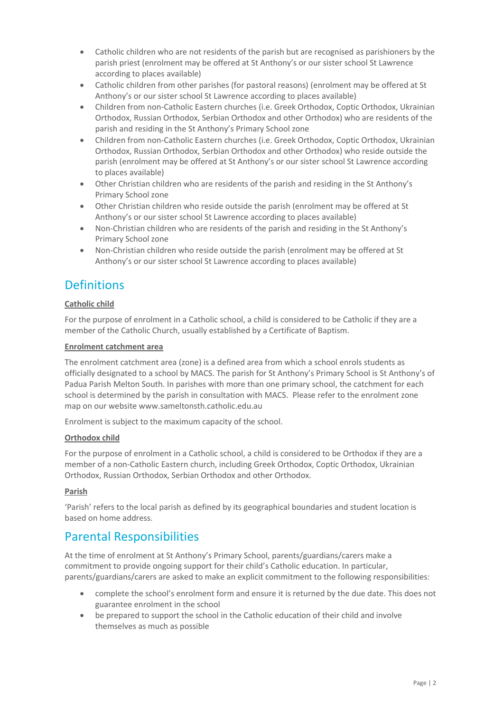- Catholic children who are not residents of the parish but are recognised as parishioners by the parish priest (enrolment may be offered at St Anthony's or our sister school St Lawrence according to places available)
- Catholic children from other parishes (for pastoral reasons) (enrolment may be offered at St Anthony's or our sister school St Lawrence according to places available)
- Children from non-Catholic Eastern churches (i.e. Greek Orthodox, Coptic Orthodox, Ukrainian Orthodox, Russian Orthodox, Serbian Orthodox and other Orthodox) who are residents of the parish and residing in the St Anthony's Primary School zone
- Children from non-Catholic Eastern churches (i.e. Greek Orthodox, Coptic Orthodox, Ukrainian Orthodox, Russian Orthodox, Serbian Orthodox and other Orthodox) who reside outside the parish (enrolment may be offered at St Anthony's or our sister school St Lawrence according to places available)
- Other Christian children who are residents of the parish and residing in the St Anthony's Primary School zone
- Other Christian children who reside outside the parish (enrolment may be offered at St Anthony's or our sister school St Lawrence according to places available)
- Non-Christian children who are residents of the parish and residing in the St Anthony's Primary School zone
- Non-Christian children who reside outside the parish (enrolment may be offered at St Anthony's or our sister school St Lawrence according to places available)

# **Definitions**

#### **Catholic child**

For the purpose of enrolment in a Catholic school, a child is considered to be Catholic if they are a member of the Catholic Church, usually established by a Certificate of Baptism.

#### **Enrolment catchment area**

The enrolment catchment area (zone) is a defined area from which a school enrols students as officially designated to a school by MACS. The parish for St Anthony's Primary School is St Anthony's of Padua Parish Melton South. In parishes with more than one primary school, the catchment for each school is determined by the parish in consultation with MACS. Please refer to the enrolment zone map on our website www.sameltonsth.catholic.edu.au

Enrolment is subject to the maximum capacity of the school.

#### **Orthodox child**

For the purpose of enrolment in a Catholic school, a child is considered to be Orthodox if they are a member of a non-Catholic Eastern church, including Greek Orthodox, Coptic Orthodox, Ukrainian Orthodox, Russian Orthodox, Serbian Orthodox and other Orthodox.

#### **Parish**

'Parish' refers to the local parish as defined by its geographical boundaries and student location is based on home address.

### Parental Responsibilities

At the time of enrolment at St Anthony's Primary School, parents/guardians/carers make a commitment to provide ongoing support for their child's Catholic education. In particular, parents/guardians/carers are asked to make an explicit commitment to the following responsibilities:

- complete the school's enrolment form and ensure it is returned by the due date. This does not guarantee enrolment in the school
- be prepared to support the school in the Catholic education of their child and involve themselves as much as possible